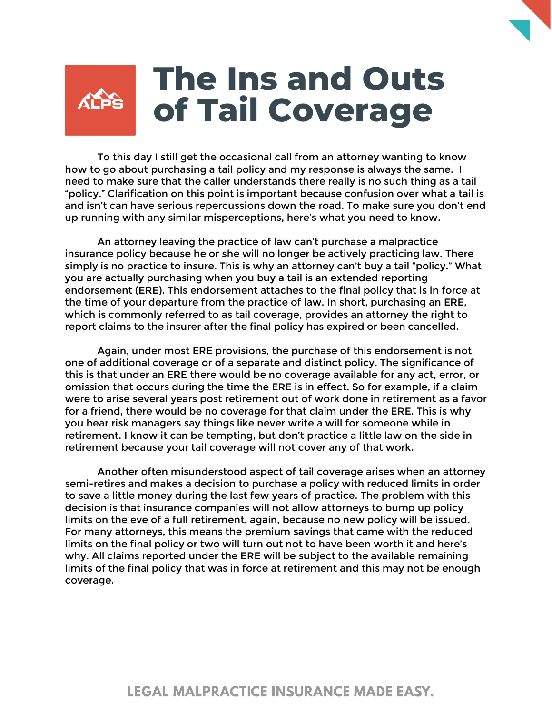## **The Ins and Outs ALPS of Tail Coverage**

To this day I still get the occasional call from an attorney wanting to know how to go about purchasing a tail policy and my response is always the same. I need to make sure that the caller understands there really is no such thing as a tail "policy." Clarification on this point is important because confusion over what a tail is and isn't can have serious repercussions down the road. To make sure you don't end up running with any similar misperceptions, here's what you need to know.

An attorney leaving the practice of law can't purchase a malpractice insurance policy because he or she will no longer be actively practicing law. There simply is no practice to insure. This is why an attorney can't buy a tail "policy." What you are actually purchasing when you buy a tail is an extended reporting endorsement (ERE). This endorsement attaches to the final policy that is in force at the time of your departure from the practice of law. In short, purchasing an ERE, which is commonly referred to as tail coverage, provides an attorney the right to report claims to the insurer after the final policy has expired or been cancelled.

Again, under most ERE provisions, the purchase of this endorsement is not one of additional coverage or of a separate and distinct policy. The significance of this is that under an ERE there would be no coverage available for any act, error, or omission that occurs during the time the ERE is in effect. So for example, if a claim were to arise several years post retirement out of work done in retirement as a favor for a friend, there would be no coverage for that claim under the ERE. This is why you hear risk managers say things like never write a will for someone while in retirement. I know it can be tempting, but don't practice a little law on the side in retirement because your tail coverage will not cover any of that work.

Another often misunderstood aspect of tail coverage arises when an attorney semi-retires and makes a decision to purchase a policy with reduced limits in order to save a little money during the last few years of practice. The problem with this decision is that insurance companies will not allow attorneys to bump up policy limits on the eve of a full retirement, again, because no new policy will be issued. For many attorneys, this means the premium savings that came with the reduced limits on the final policy or two will turn out not to have been worth it and here's why. All claims reported under the ERE will be subject to the available remaining limits of the final policy that was in force at retirement and this may not be enough coverage.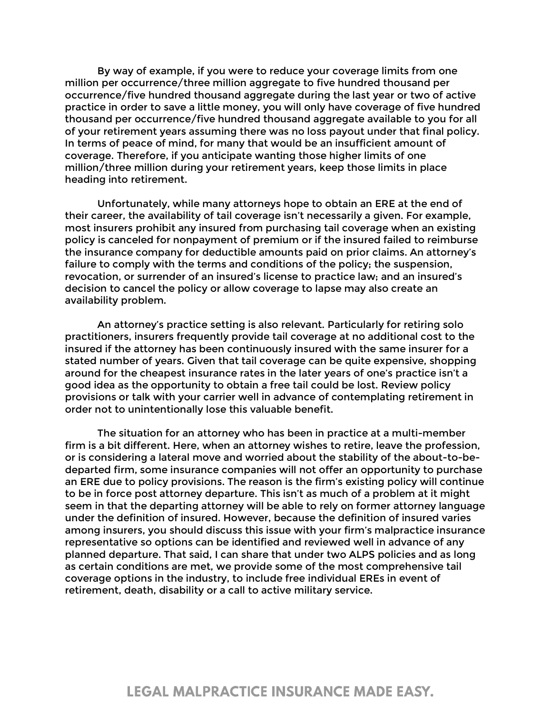By way of example, if you were to reduce your coverage limits from one million per occurrence/three million aggregate to five hundred thousand per occurrence/five hundred thousand aggregate during the last year or two of active practice in order to save a little money, you will only have coverage of five hundred thousand per occurrence/five hundred thousand aggregate available to you for all of your retirement years assuming there was no loss payout under that final policy. In terms of peace of mind, for many that would be an insufficient amount of coverage. Therefore, if you anticipate wanting those higher limits of one million/three million during your retirement years, keep those limits in place heading into retirement.

Unfortunately, while many attorneys hope to obtain an ERE at the end of their career, the availability of tail coverage isn't necessarily a given. For example, most insurers prohibit any insured from purchasing tail coverage when an existing policy is canceled for nonpayment of premium or if the insured failed to reimburse the insurance company for deductible amounts paid on prior claims. An attorney's failure to comply with the terms and conditions of the policy; the suspension, revocation, or surrender of an insured's license to practice law; and an insured's decision to cancel the policy or allow coverage to lapse may also create an availability problem.

An attorney's practice setting is also relevant. Particularly for retiring solo practitioners, insurers frequently provide tail coverage at no additional cost to the insured if the attorney has been continuously insured with the same insurer for a stated number of years. Given that tail coverage can be quite expensive, shopping around for the cheapest insurance rates in the later years of one's practice isn't a good idea as the opportunity to obtain a free tail could be lost. Review policy provisions or talk with your carrier well in advance of contemplating retirement in order not to unintentionally lose this valuable benefit.

The situation for an attorney who has been in practice at a multi-member firm is a bit different. Here, when an attorney wishes to retire, leave the profession, or is considering a lateral move and worried about the stability of the about-to-bedeparted firm, some insurance companies will not offer an opportunity to purchase an ERE due to policy provisions. The reason is the firm's existing policy will continue to be in force post attorney departure. This isn't as much of a problem at it might seem in that the departing attorney will be able to rely on former attorney language under the definition of insured. However, because the definition of insured varies among insurers, you should discuss this issue with your firm's malpractice insurance representative so options can be identified and reviewed well in advance of any planned departure. That said, I can share that under two ALPS policies and as long as certain conditions are met, we provide some of the most comprehensive tail coverage options in the industry, to include free individual EREs in event of retirement, death, disability or a call to active military service.